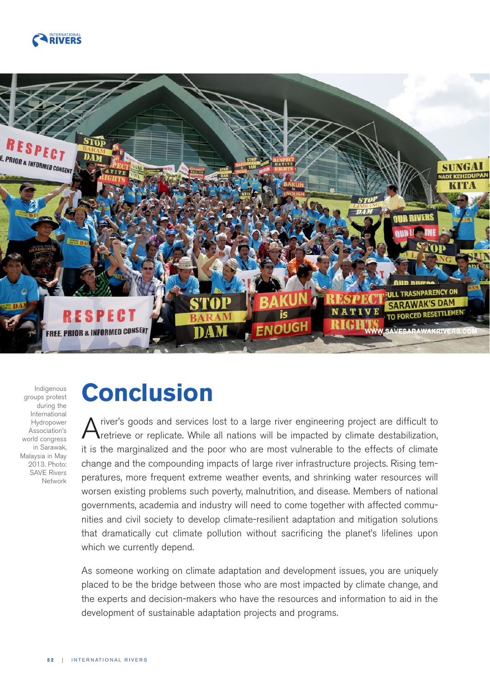



Indigenous groups protest during the International Hydropower Association's world congress in Sarawak, Malaysia in May 2013. Photo: SAVE Rivers Network

## **Conclusion**

A river's goods and services lost to a large river engineering project are difficult to replicate. While all nations will be impacted by climate destabilization, it is the marginalized and the poor who are most vulnerable to the effects of climate change and the compounding impacts of large river infrastructure projects. Rising temperatures, more frequent extreme weather events, and shrinking water resources will worsen existing problems such poverty, malnutrition, and disease. Members of national governments, academia and industry will need to come together with affected communities and civil society to develop climate-resilient adaptation and mitigation solutions that dramatically cut climate pollution without sacrificing the planet's lifelines upon which we currently depend.

As someone working on climate adaptation and development issues, you are uniquely placed to be the bridge between those who are most impacted by climate change, and the experts and decision-makers who have the resources and information to aid in the development of sustainable adaptation projects and programs.